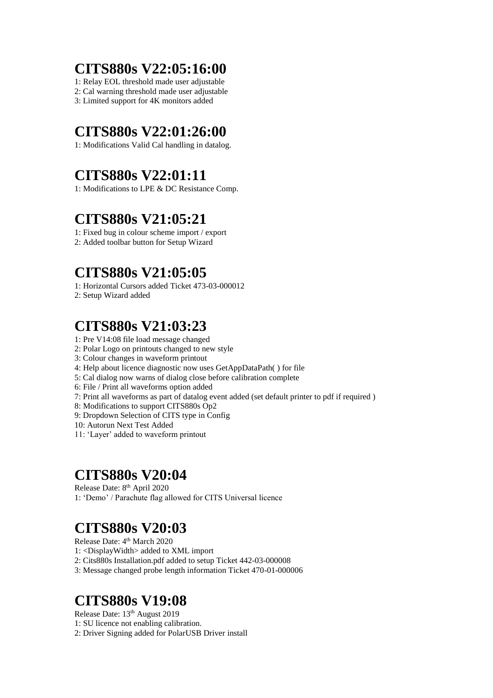# **CITS880s V22:05:16:00**

1: Relay EOL threshold made user adjustable

2: Cal warning threshold made user adjustable

3: Limited support for 4K monitors added

# **CITS880s V22:01:26:00**

1: Modifications Valid Cal handling in datalog.

# **CITS880s V22:01:11**

1: Modifications to LPE & DC Resistance Comp.

## **CITS880s V21:05:21**

1: Fixed bug in colour scheme import / export 2: Added toolbar button for Setup Wizard

# **CITS880s V21:05:05**

1: Horizontal Cursors added Ticket 473-03-000012

2: Setup Wizard added

## **CITS880s V21:03:23**

- 1: Pre V14:08 file load message changed
- 2: Polar Logo on printouts changed to new style
- 3: Colour changes in waveform printout
- 4: Help about licence diagnostic now uses GetAppDataPath( ) for file
- 5: Cal dialog now warns of dialog close before calibration complete
- 6: File / Print all waveforms option added
- 7: Print all waveforms as part of datalog event added (set default printer to pdf if required )
- 8: Modifications to support CITS880s Op2
- 9: Dropdown Selection of CITS type in Config
- 10: Autorun Next Test Added
- 11: 'Layer' added to waveform printout

## **CITS880s V20:04**

Release Date: 8<sup>th</sup> April 2020 1: 'Demo' / Parachute flag allowed for CITS Universal licence

# **CITS880s V20:03**

Release Date: 4<sup>th</sup> March 2020

1: <DisplayWidth> added to XML import

2: Cits880s Installation.pdf added to setup Ticket 442-03-000008

3: Message changed probe length information Ticket 470-01-000006

## **CITS880s V19:08**

Release Date: 13th August 2019

- 1: SU licence not enabling calibration.
- 2: Driver Signing added for PolarUSB Driver install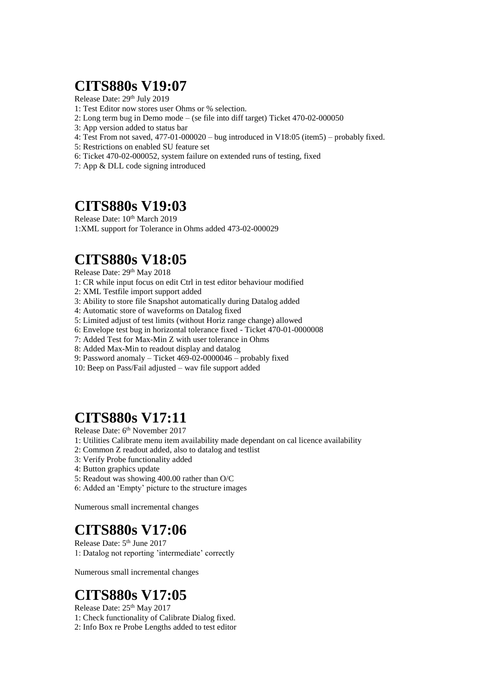## **CITS880s V19:07**

Release Date: 29<sup>th</sup> July 2019

- 1: Test Editor now stores user Ohms or % selection.
- 2: Long term bug in Demo mode (se file into diff target) Ticket 470-02-000050
- 3: App version added to status bar
- 4: Test From not saved, 477-01-000020 bug introduced in V18:05 (item5) probably fixed.
- 5: Restrictions on enabled SU feature set
- 6: Ticket 470-02-000052, system failure on extended runs of testing, fixed
- 7: App & DLL code signing introduced

#### **CITS880s V19:03**

Release Date:  $10^{th}$  March 2019 1:XML support for Tolerance in Ohms added 473-02-000029

# **CITS880s V18:05**

Release Date: 29th May 2018

1: CR while input focus on edit Ctrl in test editor behaviour modified

- 2: XML Testfile import support added
- 3: Ability to store file Snapshot automatically during Datalog added
- 4: Automatic store of waveforms on Datalog fixed
- 5: Limited adjust of test limits (without Horiz range change) allowed
- 6: Envelope test bug in horizontal tolerance fixed Ticket 470-01-0000008
- 7: Added Test for Max-Min Z with user tolerance in Ohms
- 8: Added Max-Min to readout display and datalog
- 9: Password anomaly Ticket 469-02-0000046 probably fixed
- 10: Beep on Pass/Fail adjusted wav file support added

### **CITS880s V17:11**

Release Date: 6<sup>th</sup> November 2017

- 1: Utilities Calibrate menu item availability made dependant on cal licence availability
- 2: Common Z readout added, also to datalog and testlist
- 3: Verify Probe functionality added
- 4: Button graphics update
- 5: Readout was showing 400.00 rather than O/C
- 6: Added an 'Empty' picture to the structure images

Numerous small incremental changes

### **CITS880s V17:06**

Release Date: 5<sup>th</sup> June 2017 1: Datalog not reporting 'intermediate' correctly

Numerous small incremental changes

## **CITS880s V17:05**

Release Date:  $25<sup>th</sup>$  May 2017

1: Check functionality of Calibrate Dialog fixed.

2: Info Box re Probe Lengths added to test editor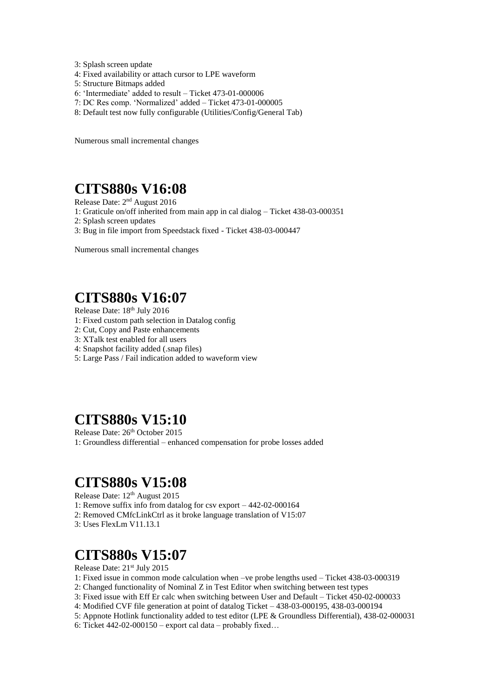- 3: Splash screen update
- 4: Fixed availability or attach cursor to LPE waveform
- 5: Structure Bitmaps added
- 6: 'Intermediate' added to result Ticket 473-01-000006
- 7: DC Res comp. 'Normalized' added Ticket 473-01-000005
- 8: Default test now fully configurable (Utilities/Config/General Tab)

Numerous small incremental changes

### **CITS880s V16:08**

Release Date: 2<sup>nd</sup> August 2016

1: Graticule on/off inherited from main app in cal dialog – Ticket 438-03-000351

- 2: Splash screen updates
- 3: Bug in file import from Speedstack fixed Ticket 438-03-000447

Numerous small incremental changes

#### **CITS880s V16:07**

Release Date: 18th July 2016

- 1: Fixed custom path selection in Datalog config
- 2: Cut, Copy and Paste enhancements
- 3: XTalk test enabled for all users
- 4: Snapshot facility added (.snap files)
- 5: Large Pass / Fail indication added to waveform view

### **CITS880s V15:10**

Release Date: 26th October 2015 1: Groundless differential – enhanced compensation for probe losses added

#### **CITS880s V15:08**

Release Date: 12th August 2015

1: Remove suffix info from datalog for csv export – 442-02-000164

- 2: Removed CMfcLinkCtrl as it broke language translation of V15:07
- 3: Uses FlexLm V11.13.1

#### **CITS880s V15:07**

Release Date: 21<sup>st</sup> July 2015

- 1: Fixed issue in common mode calculation when –ve probe lengths used Ticket 438-03-000319
- 2: Changed functionality of Nominal Z in Test Editor when switching between test types
- 3: Fixed issue with Eff Er calc when switching between User and Default Ticket 450-02-000033
- 4: Modified CVF file generation at point of datalog Ticket 438-03-000195, 438-03-000194
- 5: Appnote Hotlink functionality added to test editor (LPE & Groundless Differential), 438-02-000031
- 6: Ticket  $442-02-000150$  export cal data probably fixed...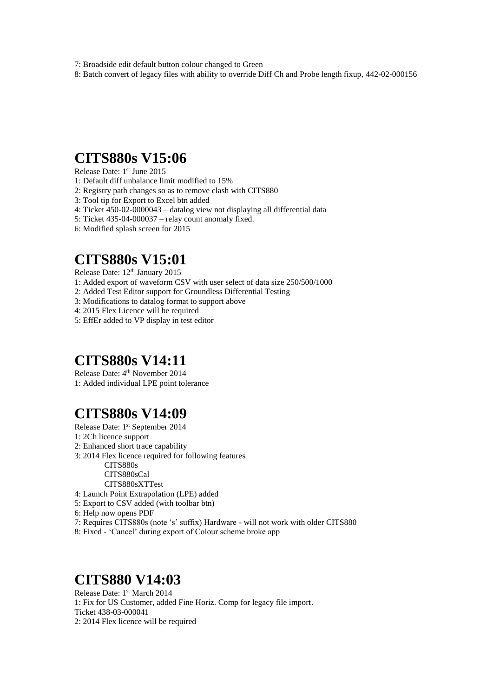7: Broadside edit default button colour changed to Green

8: Batch convert of legacy files with ability to override Diff Ch and Probe length fixup, 442-02-000156

### **CITS880s V15:06**

Release Date: 1 st June 2015

- 1: Default diff unbalance limit modified to 15%
- 2: Registry path changes so as to remove clash with CITS880
- 3: Tool tip for Export to Excel btn added
- 4: Ticket 450-02-0000043 datalog view not displaying all differential data
- 5: Ticket 435-04-000037 relay count anomaly fixed.
- 6: Modified splash screen for 2015

## **CITS880s V15:01**

Release Date: 12<sup>th</sup> January 2015

- 1: Added export of waveform CSV with user select of data size 250/500/1000
- 2: Added Test Editor support for Groundless Differential Testing
- 3: Modifications to datalog format to support above
- 4: 2015 Flex Licence will be required
- 5: EffEr added to VP display in test editor

## **CITS880s V14:11**

Release Date: 4<sup>th</sup> November 2014 1: Added individual LPE point tolerance

## **CITS880s V14:09**

Release Date: 1<sup>st</sup> September 2014

- 1: 2Ch licence support
- 2: Enhanced short trace capability
- 3: 2014 Flex licence required for following features

CITS880s CITS880sCal CITS880sXTTest

- 4: Launch Point Extrapolation (LPE) added
- 5: Export to CSV added (with toolbar btn)
- 6: Help now opens PDF
- 7: Requires CITS880s (note 's' suffix) Hardware will not work with older CITS880
- 8: Fixed 'Cancel' during export of Colour scheme broke app

#### **CITS880 V14:03**

Release Date: 1st March 2014 1: Fix for US Customer, added Fine Horiz. Comp for legacy file import. Ticket 438-03-000041 2: 2014 Flex licence will be required